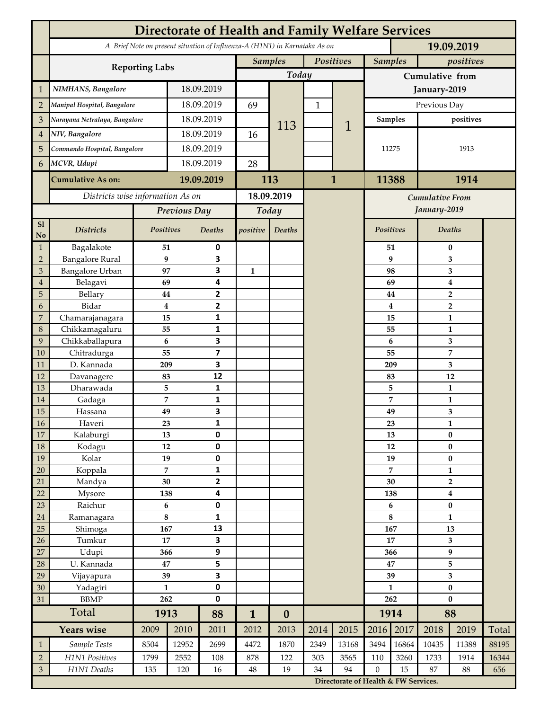|                             | <b>Directorate of Health and Family Welfare Services</b>                                 |                      |            |                              |                             |                  |              |                                      |                 |                                             |                                    |                   |       |  |
|-----------------------------|------------------------------------------------------------------------------------------|----------------------|------------|------------------------------|-----------------------------|------------------|--------------|--------------------------------------|-----------------|---------------------------------------------|------------------------------------|-------------------|-------|--|
|                             | A Brief Note on present situation of Influenza-A (H1N1) in Karnataka As on<br>19.09.2019 |                      |            |                              |                             |                  |              |                                      |                 |                                             |                                    |                   |       |  |
|                             |                                                                                          |                      |            |                              | Positives<br><b>Samples</b> |                  |              |                                      | <b>Samples</b>  |                                             | positives                          |                   |       |  |
|                             | <b>Reporting Labs</b>                                                                    |                      |            |                              |                             | Today            |              |                                      | Cumulative from |                                             |                                    |                   |       |  |
| $\mathbf{1}$                | NIMHANS, Bangalore                                                                       | 18.09.2019           |            |                              |                             |                  |              | January-2019                         |                 |                                             |                                    |                   |       |  |
| $\overline{2}$              | Manipal Hospital, Bangalore                                                              |                      |            | 18.09.2019                   |                             |                  | $\mathbf{1}$ |                                      | Previous Day    |                                             |                                    |                   |       |  |
| 3                           | Narayana Netralaya, Bangalore                                                            |                      |            | 18.09.2019                   |                             |                  |              |                                      |                 | <b>Samples</b>                              |                                    | positives         |       |  |
| $\overline{4}$              |                                                                                          | NIV, Bangalore       |            | 18.09.2019                   |                             | 113              |              | 1                                    |                 |                                             |                                    |                   |       |  |
| 5                           | Commando Hospital, Bangalore                                                             |                      | 18.09.2019 |                              | 16                          |                  |              |                                      | 11275           |                                             | 1913                               |                   |       |  |
| 6                           | MCVR, Udupi                                                                              |                      | 18.09.2019 |                              | 28                          |                  |              |                                      |                 |                                             |                                    |                   |       |  |
|                             |                                                                                          |                      |            |                              |                             |                  | $\mathbf{1}$ |                                      |                 |                                             |                                    |                   |       |  |
|                             | <b>Cumulative As on:</b>                                                                 | 19.09.2019           |            | 113                          |                             |                  |              | 11388                                |                 | 1914                                        |                                    |                   |       |  |
|                             | Districts wise information As on                                                         |                      |            | 18.09.2019                   |                             |                  |              | <b>Cumulative From</b>               |                 |                                             |                                    |                   |       |  |
|                             |                                                                                          | Previous Day         |            | Today                        |                             |                  |              |                                      |                 |                                             | January-2019                       |                   |       |  |
| S1<br>No                    | <b>Districts</b>                                                                         | Positives            |            | Deaths                       | positive                    | Deaths           |              |                                      | Positives       |                                             |                                    | <b>Deaths</b>     |       |  |
| $\mathbf{1}$                | Bagalakote                                                                               | 51                   |            | $\pmb{0}$                    |                             |                  |              |                                      |                 | 51                                          | $\bf{0}$                           |                   |       |  |
| $\overline{2}$              | <b>Bangalore Rural</b>                                                                   | 9                    |            | 3                            |                             |                  |              |                                      |                 | 9                                           | 3                                  |                   |       |  |
| 3                           | <b>Bangalore Urban</b>                                                                   | 97                   |            | 3                            | $\mathbf{1}$                |                  |              |                                      |                 | 98                                          | 3                                  |                   |       |  |
| $\overline{4}$<br>5         | Belagavi<br>Bellary                                                                      | 69<br>44             |            | 4<br>$\mathbf{2}$            |                             |                  |              |                                      | 69<br>44        | $\boldsymbol{4}$<br>$\overline{\mathbf{2}}$ |                                    |                   |       |  |
| 6                           | Bidar                                                                                    | $\bf{4}$             |            | 2                            |                             |                  |              |                                      |                 | 4                                           |                                    | $\overline{2}$    |       |  |
| $\overline{7}$              | Chamarajanagara                                                                          | 15                   |            | 1                            |                             |                  |              |                                      |                 | 15                                          |                                    | $\mathbf{1}$      |       |  |
| 8                           | Chikkamagaluru                                                                           | 55                   |            | 1                            |                             |                  |              |                                      |                 | 55                                          |                                    | 1                 |       |  |
| 9                           | Chikkaballapura                                                                          | 6                    |            | 3                            |                             |                  |              |                                      |                 | 6                                           |                                    | 3                 |       |  |
| 10                          | Chitradurga                                                                              | 55                   |            | $\overline{\mathbf{z}}$      |                             |                  |              |                                      | 55              |                                             |                                    | $\overline{7}$    |       |  |
| 11                          | D. Kannada                                                                               | 209                  |            | 3                            |                             |                  |              |                                      | 209             |                                             | 3                                  |                   |       |  |
| 12<br>13                    | Davanagere<br>Dharawada                                                                  | 83<br>5              |            | 12<br>1                      |                             |                  |              |                                      | 83              | 5                                           |                                    | 12                |       |  |
| 14                          | Gadaga                                                                                   | $\overline{7}$       |            | 1                            |                             |                  |              |                                      |                 | 7                                           |                                    | 1<br>$\mathbf{1}$ |       |  |
| 15                          | Hassana                                                                                  | 49                   |            | 3                            |                             |                  |              |                                      |                 | 49                                          |                                    | 3                 |       |  |
| 16                          | Haveri                                                                                   | 23                   |            | 1                            |                             |                  |              |                                      |                 | 23                                          | 1                                  |                   |       |  |
| 17                          | Kalaburgi                                                                                | 13                   |            | 0                            |                             |                  |              |                                      |                 | 13                                          |                                    | $\pmb{0}$         |       |  |
| 18                          | Kodagu                                                                                   | $12\,$               |            | 0                            |                             |                  |              |                                      |                 | 12                                          | $\pmb{0}$                          |                   |       |  |
| 19                          | Kolar                                                                                    | 19                   |            | 0                            |                             |                  |              |                                      |                 | 19                                          |                                    | $\bf{0}$          |       |  |
| 20<br>21                    | Koppala<br>Mandya                                                                        | $\overline{7}$<br>30 |            | 1<br>$\overline{\mathbf{2}}$ |                             |                  |              |                                      | 7<br>30         |                                             |                                    | $\mathbf{1}$      |       |  |
| 22                          | Mysore                                                                                   | 138                  |            | 4                            |                             |                  |              |                                      | 138             |                                             | $\overline{2}$<br>$\boldsymbol{4}$ |                   |       |  |
| 23                          | Raichur                                                                                  | $\bf 6$              |            | 0                            |                             |                  |              |                                      | 6               |                                             | $\pmb{0}$                          |                   |       |  |
| 24                          | Ramanagara                                                                               | $\bf 8$              |            | 1                            |                             |                  |              |                                      | 8               |                                             | $\mathbf{1}$                       |                   |       |  |
| 25                          | Shimoga                                                                                  | 167                  |            | 13                           |                             |                  |              |                                      | 167             |                                             | 13                                 |                   |       |  |
| 26                          | Tumkur                                                                                   | 17                   |            | 3                            |                             |                  |              |                                      | 17              |                                             | 3                                  |                   |       |  |
| 27                          | Udupi                                                                                    | 366                  |            | 9                            |                             |                  |              |                                      | 366             |                                             | $\boldsymbol{9}$                   |                   |       |  |
| 28<br>29                    | U. Kannada<br>Vijayapura                                                                 | 47<br>39             |            | 5<br>3                       |                             |                  |              |                                      | 47<br>39        |                                             | 5<br>3                             |                   |       |  |
| 30                          | Yadagiri                                                                                 | $\mathbf{1}$         |            | 0                            |                             |                  |              |                                      | $\mathbf{1}$    |                                             | $\pmb{0}$                          |                   |       |  |
| 31                          | <b>BBMP</b>                                                                              | 262                  |            | 0                            |                             |                  |              |                                      | 262             |                                             | $\bf{0}$                           |                   |       |  |
|                             | Total                                                                                    | 1913                 |            | 88                           | $\mathbf{1}$                | $\boldsymbol{0}$ |              |                                      |                 | 1914                                        | 88                                 |                   |       |  |
|                             | <b>Years wise</b>                                                                        | 2009                 | 2010       | 2011                         | 2012                        | 2013             | 2014         | 2015                                 | 2016            | 2017                                        | 2018                               | 2019              | Total |  |
| $\mathbf{1}$                | Sample Tests                                                                             | 8504                 | 12952      | 2699                         | 4472                        | 1870             | 2349         | 13168                                | 3494            | 16864                                       | 10435                              | 11388             | 88195 |  |
| $\sqrt{2}$                  | H1N1 Positives                                                                           | 1799                 | 2552       | 108                          | 878                         | 122              | 303          | 3565                                 | 110             | 3260                                        | 1733                               | 1914              | 16344 |  |
| $\ensuremath{\mathfrak{Z}}$ | H1N1 Deaths                                                                              | 135                  | 120        | 16                           | $\bf 48$                    | 19               | 34           | 94                                   | $\mathbf{0}$    | 15                                          | 87                                 | 88                | 656   |  |
|                             |                                                                                          |                      |            |                              |                             |                  |              | Directorate of Health & FW Services. |                 |                                             |                                    |                   |       |  |